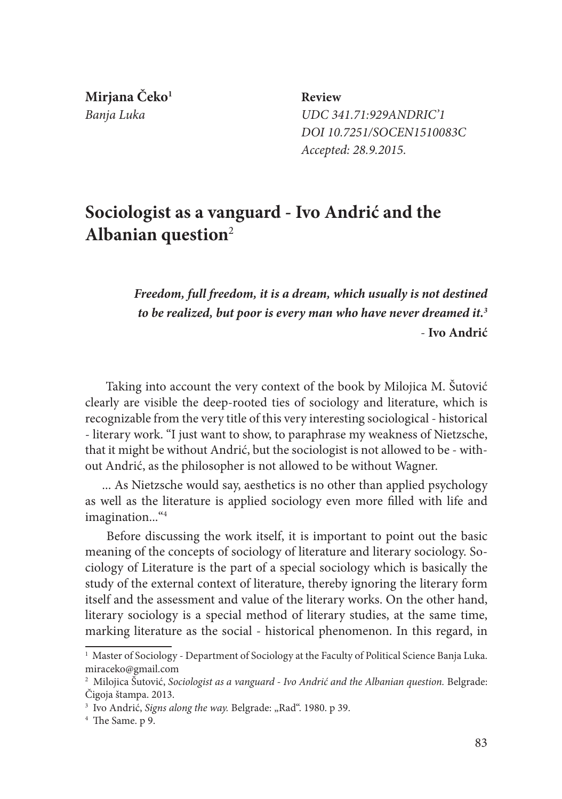**Mirjana Čeko1**

 **Review** *Banja Luka UDC 341.71:929ANDRIC'1 DOI 10.7251/SOCEN1510083C Accepted: 28.9.2015.*

## **Sociologist as a vanguard - Ivo Andrić and the Albanian question**<sup>2</sup>

*Freedom, full freedom, it is a dream, which usually is not destined to be realized, but poor is every man who have never dreamed it.3* - **Ivo Andrić** 

Taking into account the very context of the book by Milojica M. Šutović clearly are visible the deep-rooted ties of sociology and literature, which is recognizable from the very title of this very interesting sociological - historical - literary work. "I just want to show, to paraphrase my weakness of Nietzsche, that it might be without Andrić, but the sociologist is not allowed to be - without Andrić, as the philosopher is not allowed to be without Wagner.

... As Nietzsche would say, aesthetics is no other than applied psychology as well as the literature is applied sociology even more filled with life and imagination...<sup>"4</sup>

 Before discussing the work itself, it is important to point out the basic meaning of the concepts of sociology of literature and literary sociology. Sociology of Literature is the part of a special sociology which is basically the study of the external context of literature, thereby ignoring the literary form itself and the assessment and value of the literary works. On the other hand, literary sociology is a special method of literary studies, at the same time, marking literature as the social - historical phenomenon. In this regard, in

<sup>&</sup>lt;sup>1</sup> Master of Sociology - Department of Sociology at the Faculty of Political Science Banja Luka. miraceko@gmail.com

<sup>&</sup>lt;sup>2</sup> Milojica Ŝutović, Sociologist as a vanguard - Ivo Andrić and the Albanian question. Belgrade: Čigoja štampa. 2013.

<sup>&</sup>lt;sup>3</sup> Ivo Andrić, Signs along the way. Belgrade: "Rad". 1980. p 39.

<sup>4</sup> The Same. p 9.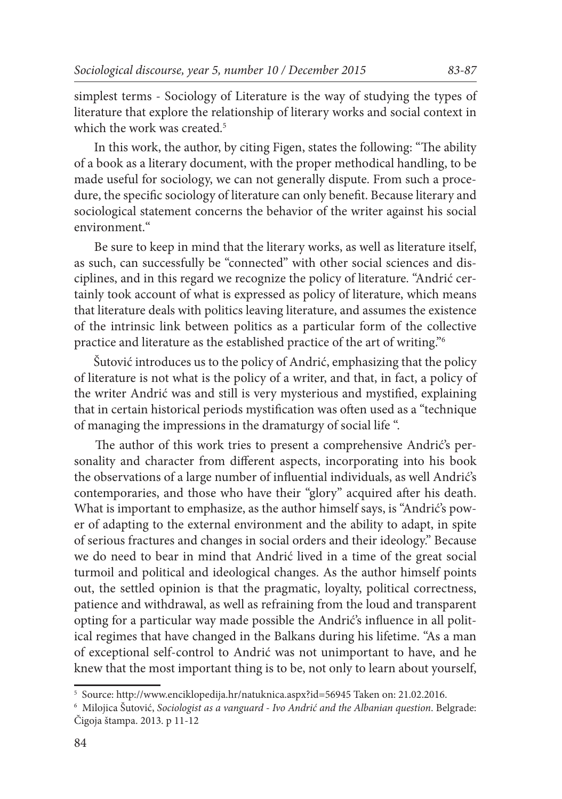simplest terms - Sociology of Literature is the way of studying the types of literature that explore the relationship of literary works and social context in which the work was created.<sup>5</sup>

 In this work, the author, by citing Figen, states the following: "The ability of a book as a literary document, with the proper methodical handling, to be made useful for sociology, we can not generally dispute. From such a procedure, the specific sociology of literature can only benefit. Because literary and sociological statement concerns the behavior of the writer against his social environment."

 Be sure to keep in mind that the literary works, as well as literature itself, as such, can successfully be "connected" with other social sciences and disciplines, and in this regard we recognize the policy of literature. "Andrić certainly took account of what is expressed as policy of literature, which means that literature deals with politics leaving literature, and assumes the existence of the intrinsic link between politics as a particular form of the collective practice and literature as the established practice of the art of writing."6

 Šutović introduces us to the policy of Andrić, emphasizing that the policy of literature is not what is the policy of a writer, and that, in fact, a policy of the writer Andrić was and still is very mysterious and mystified, explaining that in certain historical periods mystification was often used as a "technique of managing the impressions in the dramaturgy of social life ".

 The author of this work tries to present a comprehensive Andrić's personality and character from different aspects, incorporating into his book the observations of a large number of influential individuals, as well Andrić's contemporaries, and those who have their "glory" acquired after his death. What is important to emphasize, as the author himself says, is "Andrić's power of adapting to the external environment and the ability to adapt, in spite of serious fractures and changes in social orders and their ideology." Because we do need to bear in mind that Andrić lived in a time of the great social turmoil and political and ideological changes. As the author himself points out, the settled opinion is that the pragmatic, loyalty, political correctness, patience and withdrawal, as well as refraining from the loud and transparent opting for a particular way made possible the Andrić's influence in all political regimes that have changed in the Balkans during his lifetime. "As a man of exceptional self-control to Andrić was not unimportant to have, and he knew that the most important thing is to be, not only to learn about yourself,

<sup>5</sup> Source: http://www.enciklopedija.hr/natuknica.aspx?id=56945 Taken on: 21.02.2016.

<sup>6</sup> Milojica Šutović, *Sociologist as a vanguard - Ivo Andrić and the Albanian question*. Belgrade: Čigoja štampa. 2013. p 11-12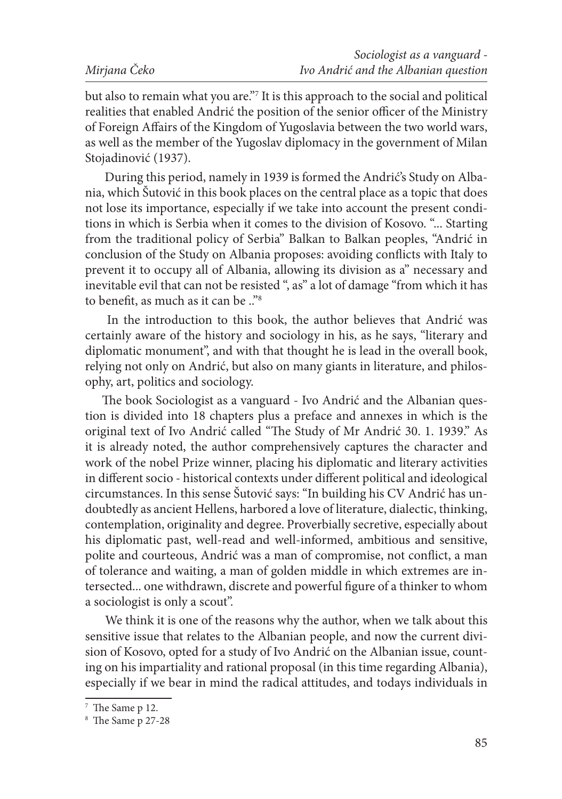but also to remain what you are."7 It is this approach to the social and political realities that enabled Andrić the position of the senior officer of the Ministry of Foreign Affairs of the Kingdom of Yugoslavia between the two world wars, as well as the member of the Yugoslav diplomacy in the government of Milan Stojadinović (1937).

 During this period, namely in 1939 is formed the Andrić's Study on Albania, which Šutović in this book places on the central place as a topic that does not lose its importance, especially if we take into account the present conditions in which is Serbia when it comes to the division of Kosovo. "... Starting from the traditional policy of Serbia" Balkan to Balkan peoples, "Andrić in conclusion of the Study on Albania proposes: avoiding conflicts with Italy to prevent it to occupy all of Albania, allowing its division as a" necessary and inevitable evil that can not be resisted ", as" a lot of damage "from which it has to benefit, as much as it can be .."8

 In the introduction to this book, the author believes that Andrić was certainly aware of the history and sociology in his, as he says, "literary and diplomatic monument", and with that thought he is lead in the overall book, relying not only on Andrić, but also on many giants in literature, and philosophy, art, politics and sociology.

The book Sociologist as a vanguard - Ivo Andrić and the Albanian question is divided into 18 chapters plus a preface and annexes in which is the original text of Ivo Andrić called "The Study of Mr Andrić 30. 1. 1939." As it is already noted, the author comprehensively captures the character and work of the nobel Prize winner, placing his diplomatic and literary activities in different socio - historical contexts under different political and ideological circumstances. In this sense Šutović says: "In building his CV Andrić has undoubtedly as ancient Hellens, harbored a love of literature, dialectic, thinking, contemplation, originality and degree. Proverbially secretive, especially about his diplomatic past, well-read and well-informed, ambitious and sensitive, polite and courteous, Andrić was a man of compromise, not conflict, a man of tolerance and waiting, a man of golden middle in which extremes are intersected... one withdrawn, discrete and powerful figure of a thinker to whom a sociologist is only a scout".

 We think it is one of the reasons why the author, when we talk about this sensitive issue that relates to the Albanian people, and now the current division of Kosovo, opted for a study of Ivo Andrić on the Albanian issue, counting on his impartiality and rational proposal (in this time regarding Albania), especially if we bear in mind the radical attitudes, and todays individuals in

<sup>7</sup> The Same p 12.

<sup>8</sup> The Same p 27-28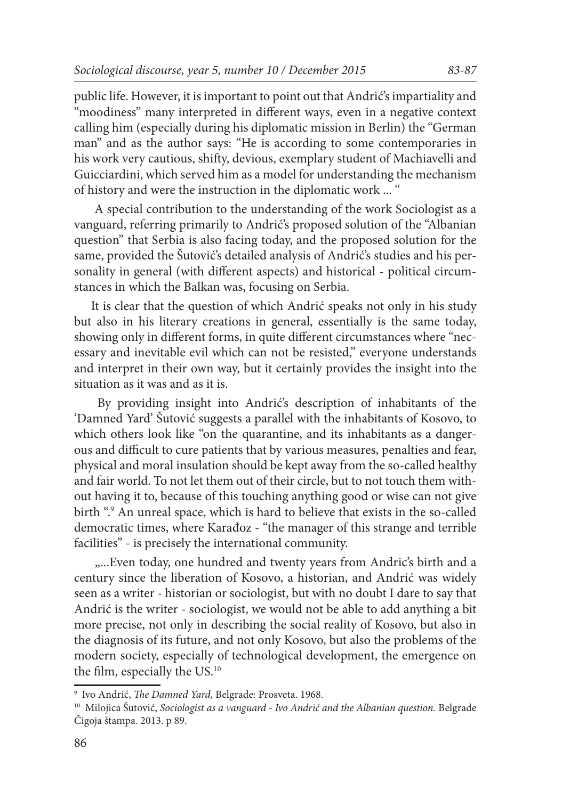public life. However, it is important to point out that Andrić's impartiality and "moodiness" many interpreted in different ways, even in a negative context calling him (especially during his diplomatic mission in Berlin) the "German man" and as the author says: "He is according to some contemporaries in his work very cautious, shifty, devious, exemplary student of Machiavelli and Guicciardini, which served him as a model for understanding the mechanism of history and were the instruction in the diplomatic work ... "

 A special contribution to the understanding of the work Sociologist as a vanguard, referring primarily to Andrić's proposed solution of the "Albanian question" that Serbia is also facing today, and the proposed solution for the same, provided the Šutović's detailed analysis of Andrić's studies and his personality in general (with different aspects) and historical - political circumstances in which the Balkan was, focusing on Serbia.

It is clear that the question of which Andrić speaks not only in his study but also in his literary creations in general, essentially is the same today, showing only in different forms, in quite different circumstances where "necessary and inevitable evil which can not be resisted," everyone understands and interpret in their own way, but it certainly provides the insight into the situation as it was and as it is.

 By providing insight into Andrić's description of inhabitants of the 'Damned Yard' Šutović suggests a parallel with the inhabitants of Kosovo, to which others look like "on the quarantine, and its inhabitants as a dangerous and difficult to cure patients that by various measures, penalties and fear, physical and moral insulation should be kept away from the so-called healthy and fair world. To not let them out of their circle, but to not touch them without having it to, because of this touching anything good or wise can not give birth ".9 An unreal space, which is hard to believe that exists in the so-called democratic times, where Karađoz - "the manager of this strange and terrible facilities" - is precisely the international community.

....Even today, one hundred and twenty years from Andric's birth and a century since the liberation of Kosovo, a historian, and Andrić was widely seen as a writer - historian or sociologist, but with no doubt I dare to say that Andrić is the writer - sociologist, we would not be able to add anything a bit more precise, not only in describing the social reality of Kosovo, but also in the diagnosis of its future, and not only Kosovo, but also the problems of the modern society, especially of technological development, the emergence on the film, especially the US.10

<sup>9</sup> Ivo Andrić, *The Damned Yard,* Belgrade: Prosveta. 1968.

<sup>&</sup>lt;sup>10</sup> Milojica Šutović, *Sociologist as a vanguard - Ivo Andrić and the Albanian question*. Belgrade Čigoja štampa. 2013. p 89.